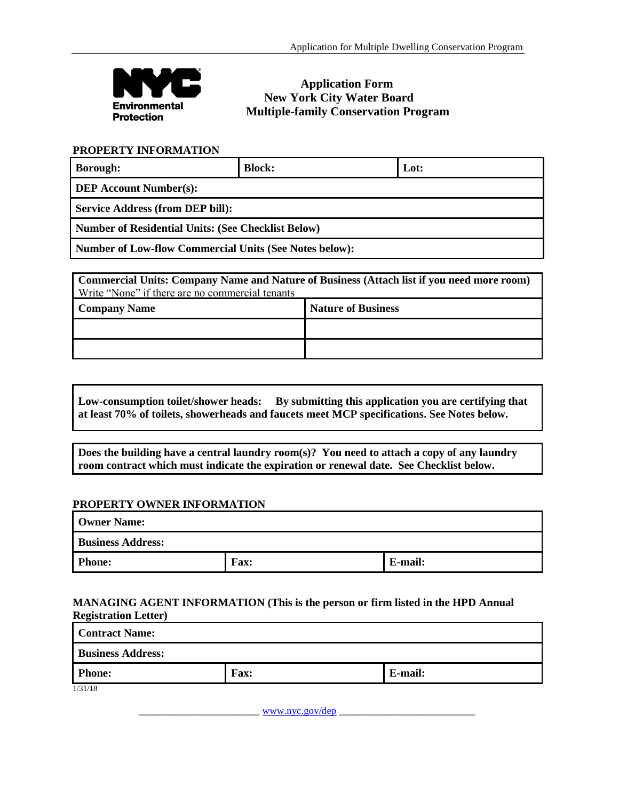

# **Application Form New York City Water Board Multiple-family Conservation Program**

## **PROPERTY INFORMATION**

| <b>Borough:</b>                                               | <b>Block:</b> | Lot: |
|---------------------------------------------------------------|---------------|------|
| <b>DEP Account Number(s):</b>                                 |               |      |
| <b>Service Address (from DEP bill):</b>                       |               |      |
| <b>Number of Residential Units: (See Checklist Below)</b>     |               |      |
| <b>Number of Low-flow Commercial Units (See Notes below):</b> |               |      |

**Commercial Units: Company Name and Nature of Business (Attach list if you need more room)** Write "None" if there are no commercial tenants

| <b>Company Name</b> | <b>Nature of Business</b> |
|---------------------|---------------------------|
|                     |                           |
|                     |                           |

# **Low-consumption toilet/shower heads: By submitting this application you are certifying that at least 70% of toilets, showerheads and faucets meet MCP specifications. See Notes below.**

**Does the building have a central laundry room(s)? You need to attach a copy of any laundry room contract which must indicate the expiration or renewal date. See Checklist below.**

## **PROPERTY OWNER INFORMATION**

| <b>Owner Name:</b>       |      |         |
|--------------------------|------|---------|
| <b>Business Address:</b> |      |         |
| <b>Phone:</b>            | Fax: | E-mail: |

### **MANAGING AGENT INFORMATION (This is the person or firm listed in the HPD Annual Registration Letter)**

| <b>Contract Name:</b>    |             |         |  |
|--------------------------|-------------|---------|--|
| <b>Business Address:</b> |             |         |  |
| <b>Phone:</b>            | <b>Fax:</b> | E-mail: |  |
| 1/31/18                  |             |         |  |

\_\_\_\_\_\_\_\_\_\_\_\_\_\_\_\_\_\_\_\_\_\_\_\_ [www.nyc.gov/dep](http://www.nyc.gov.dep/) \_\_\_\_\_\_\_\_\_\_\_\_\_\_\_\_\_\_\_\_\_\_\_\_\_\_\_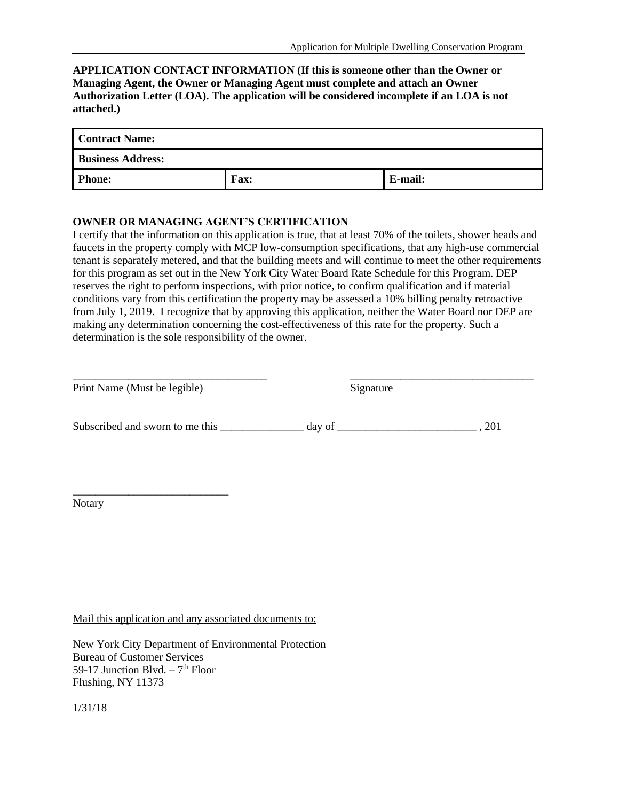## **APPLICATION CONTACT INFORMATION (If this is someone other than the Owner or Managing Agent, the Owner or Managing Agent must complete and attach an Owner Authorization Letter (LOA). The application will be considered incomplete if an LOA is not attached.)**

| <b>Contract Name:</b>    |             |         |
|--------------------------|-------------|---------|
| <b>Business Address:</b> |             |         |
| <b>Phone:</b>            | <b>Fax:</b> | E-mail: |

#### **OWNER OR MANAGING AGENT'S CERTIFICATION**

I certify that the information on this application is true, that at least 70% of the toilets, shower heads and faucets in the property comply with MCP low-consumption specifications, that any high-use commercial tenant is separately metered, and that the building meets and will continue to meet the other requirements for this program as set out in the New York City Water Board Rate Schedule for this Program. DEP reserves the right to perform inspections, with prior notice, to confirm qualification and if material conditions vary from this certification the property may be assessed a 10% billing penalty retroactive from July 1, 2019. I recognize that by approving this application, neither the Water Board nor DEP are making any determination concerning the cost-effectiveness of this rate for the property. Such a determination is the sole responsibility of the owner.

| Print Name (Must be legible)    | Signature |     |
|---------------------------------|-----------|-----|
| Subscribed and sworn to me this | day of    | 201 |

Notary

\_\_\_\_\_\_\_\_\_\_\_\_\_\_\_\_\_\_\_\_\_\_\_\_\_\_\_\_

Mail this application and any associated documents to:

New York City Department of Environmental Protection Bureau of Customer Services 59-17 Junction Blvd.  $-7<sup>th</sup>$  Floor Flushing, NY 11373

1/31/18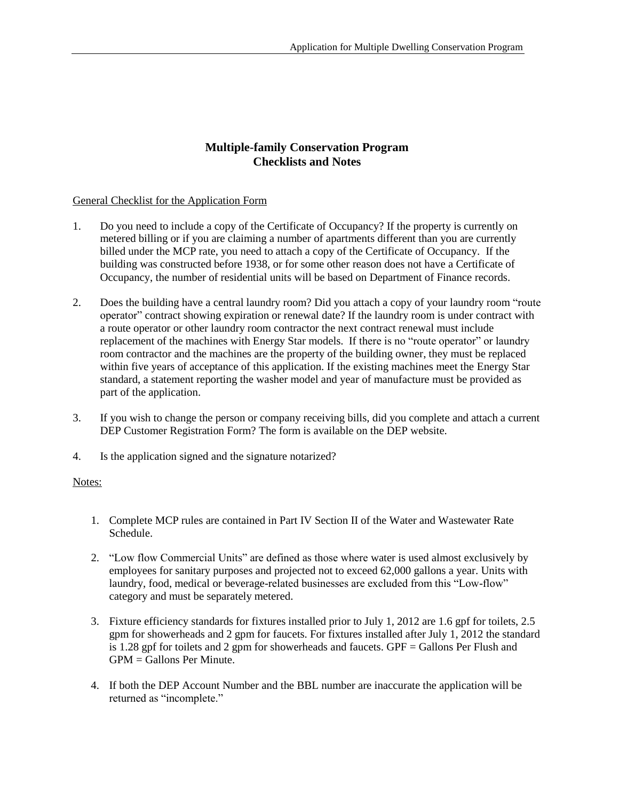## **Multiple-family Conservation Program Checklists and Notes**

## General Checklist for the Application Form

- 1. Do you need to include a copy of the Certificate of Occupancy? If the property is currently on metered billing or if you are claiming a number of apartments different than you are currently billed under the MCP rate, you need to attach a copy of the Certificate of Occupancy. If the building was constructed before 1938, or for some other reason does not have a Certificate of Occupancy, the number of residential units will be based on Department of Finance records.
- 2. Does the building have a central laundry room? Did you attach a copy of your laundry room "route operator" contract showing expiration or renewal date? If the laundry room is under contract with a route operator or other laundry room contractor the next contract renewal must include replacement of the machines with Energy Star models. If there is no "route operator" or laundry room contractor and the machines are the property of the building owner, they must be replaced within five years of acceptance of this application. If the existing machines meet the Energy Star standard, a statement reporting the washer model and year of manufacture must be provided as part of the application.
- 3. If you wish to change the person or company receiving bills, did you complete and attach a current DEP Customer Registration Form? The form is available on the DEP website.
- 4. Is the application signed and the signature notarized?

## Notes:

- 1. Complete MCP rules are contained in Part IV Section II of the Water and Wastewater Rate Schedule.
- 2. "Low flow Commercial Units" are defined as those where water is used almost exclusively by employees for sanitary purposes and projected not to exceed 62,000 gallons a year. Units with laundry, food, medical or beverage-related businesses are excluded from this "Low-flow" category and must be separately metered.
- 3. Fixture efficiency standards for fixtures installed prior to July 1, 2012 are 1.6 gpf for toilets, 2.5 gpm for showerheads and 2 gpm for faucets. For fixtures installed after July 1, 2012 the standard is 1.28 gpf for toilets and 2 gpm for showerheads and faucets. GPF = Gallons Per Flush and  $GPM =$  Gallons Per Minute.
- 4. If both the DEP Account Number and the BBL number are inaccurate the application will be returned as "incomplete."